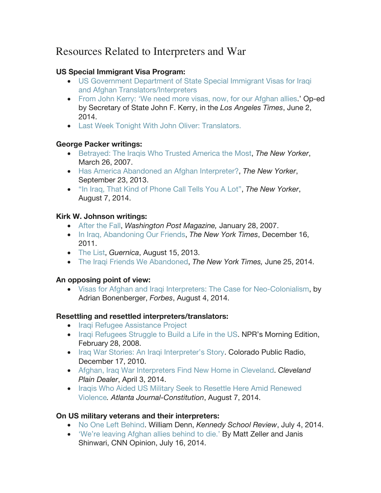# Resources Related to Interpreters and War

### **US Special Immigrant Visa Program:**

- US Government Department of State Special Immigrant Visas for Iraqi and Afghan Translators/Interpreters
- From John Kerry: 'We need more visas, now, for our Afghan allies.' Op-ed by Secretary of State John F. Kerry, in the *Los Angeles Times*, June 2, 2014.
- Last Week Tonight With John Oliver: Translators.

#### **George Packer writings:**

- Betrayed: The Iraqis Who Trusted America the Most, *The New Yorker*, March 26, 2007.
- Has America Abandoned an Afghan Interpreter?, *The New Yorker*, September 23, 2013.
- "In Iraq, That Kind of Phone Call Tells You A Lot", *The New Yorker*, August 7, 2014.

### **Kirk W. Johnson writings:**

- After the Fall, *Washington Post Magazine,* January 28, 2007.
- In Iraq, Abandoning Our Friends, *The New York Times*, December 16, 2011.
- The List, *Guernica*, August 15, 2013.
- The Iraqi Friends We Abandoned, *The New York Times,* June 25, 2014.

# **An opposing point of view:**

• Visas for Afghan and Iraqi Interpreters: The Case for Neo-Colonialism, by Adrian Bonenberger, *Forbes*, August 4, 2014.

# **Resettling and resettled interpreters/translators:**

- Iraqi Refugee Assistance Project
- Iraqi Refugees Struggle to Build a Life in the US. NPR's Morning Edition, February 28, 2008.
- Iraq War Stories: An Iraqi Interpreter's Story. Colorado Public Radio, December 17, 2010.
- Afghan, Iraq War Interpreters Find New Home in Cleveland. *Cleveland Plain Dealer*, April 3, 2014.
- Iraqis Who Aided US Military Seek to Resettle Here Amid Renewed Violence*. Atlanta Journal-Constitution*, August 7, 2014.

# **On US military veterans and their interpreters:**

- No One Left Behind. William Denn, *Kennedy School Review*, July 4, 2014.
- 'We're leaving Afghan allies behind to die.' By Matt Zeller and Janis Shinwari, CNN Opinion, July 16, 2014.